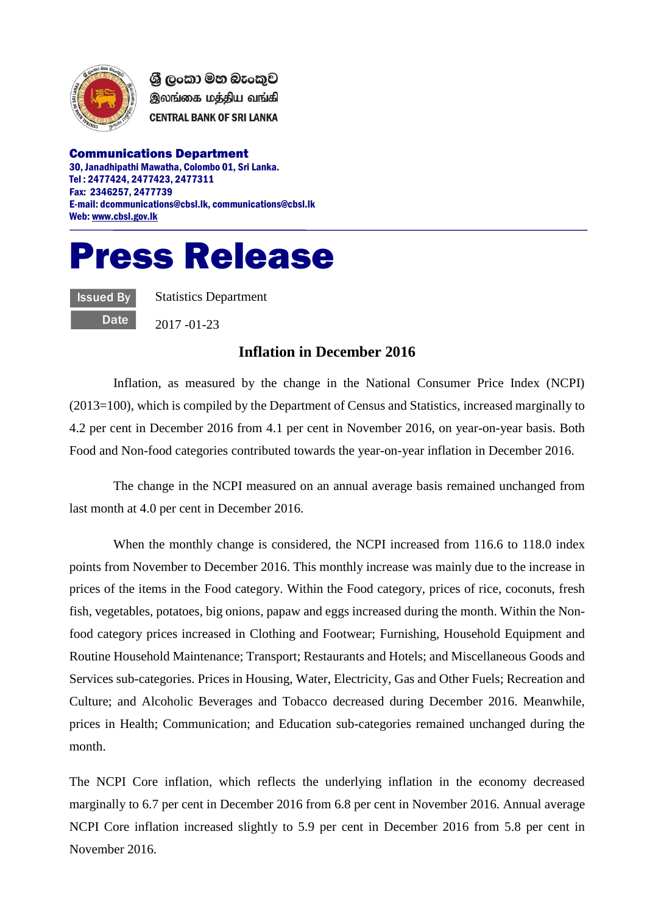

ශී ලංකා මහ බැංකුව இலங்கை மத்திய வங்கி **CENTRAL BANK OF SRI LANKA** 

Communications Department 30, Janadhipathi Mawatha, Colombo 01, Sri Lanka. Tel : 2477424, 2477423, 2477311 Fax: 2346257, 2477739 E-mail: dcommunications@cbsl.lk, communications@cbsl.lk Web[: www.cbsl.gov.lk](http://www.cbsl.gov.lk/)

## Press Release

Issued By **Date**  Statistics Department

2017 -01-23

## **Inflation in December 2016**

Inflation, as measured by the change in the National Consumer Price Index (NCPI) (2013=100), which is compiled by the Department of Census and Statistics, increased marginally to 4.2 per cent in December 2016 from 4.1 per cent in November 2016, on year-on-year basis. Both Food and Non-food categories contributed towards the year-on-year inflation in December 2016.

The change in the NCPI measured on an annual average basis remained unchanged from last month at 4.0 per cent in December 2016.

When the monthly change is considered, the NCPI increased from 116.6 to 118.0 index points from November to December 2016. This monthly increase was mainly due to the increase in prices of the items in the Food category. Within the Food category, prices of rice, coconuts, fresh fish, vegetables, potatoes, big onions, papaw and eggs increased during the month. Within the Nonfood category prices increased in Clothing and Footwear; Furnishing, Household Equipment and Routine Household Maintenance; Transport; Restaurants and Hotels; and Miscellaneous Goods and Services sub-categories. Prices in Housing, Water, Electricity, Gas and Other Fuels; Recreation and Culture; and Alcoholic Beverages and Tobacco decreased during December 2016. Meanwhile, prices in Health; Communication; and Education sub-categories remained unchanged during the month.

The NCPI Core inflation, which reflects the underlying inflation in the economy decreased marginally to 6.7 per cent in December 2016 from 6.8 per cent in November 2016. Annual average NCPI Core inflation increased slightly to 5.9 per cent in December 2016 from 5.8 per cent in November 2016.